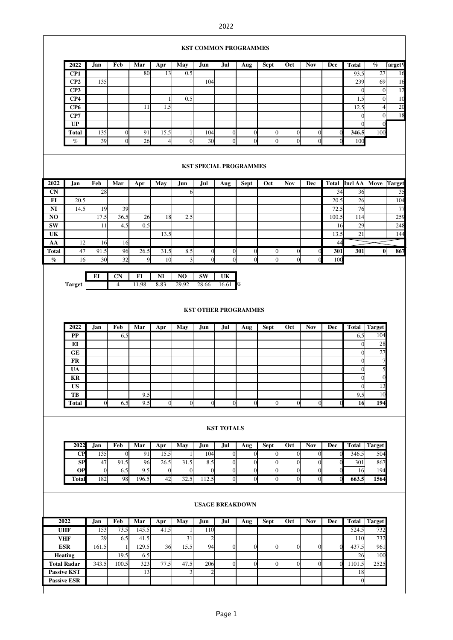## 2022

|                             |                                                            |                |                     |            |                |                 |                        |                         | <b>KST COMMON PROGRAMMES</b> |                               |                       |                              |                           |                       |                        |                     |
|-----------------------------|------------------------------------------------------------|----------------|---------------------|------------|----------------|-----------------|------------------------|-------------------------|------------------------------|-------------------------------|-----------------------|------------------------------|---------------------------|-----------------------|------------------------|---------------------|
|                             | 2022                                                       | Jan            | Feb                 | Mar        | Apr            | May             | Jun                    | Jul                     | Aug                          | <b>Sept</b>                   | Oct                   | <b>Nov</b>                   | Dec                       | <b>Total</b>          | $\%$                   | $\Gamma$ arget $\%$ |
|                             | CP1                                                        |                |                     | 80         | 13             | 0.5             |                        |                         |                              |                               |                       |                              |                           | 93.5                  | $\overline{27}$        | 16                  |
|                             | CP2                                                        | 135            |                     |            |                |                 | 104                    |                         |                              |                               |                       |                              |                           | 239                   | 69<br>$\boldsymbol{0}$ | 16<br>12            |
|                             | CP3<br>CP4                                                 |                |                     |            | 1              | 0.5             |                        |                         |                              |                               |                       |                              |                           | $\overline{0}$<br>1.5 | $\overline{0}$         | 10                  |
|                             | CP <sub>6</sub>                                            |                |                     | 11         | 1.5            |                 |                        |                         |                              |                               |                       |                              |                           | 12.5                  | $\overline{4}$         | 20                  |
|                             | CP7                                                        |                |                     |            |                |                 |                        |                         |                              |                               |                       |                              |                           | $\overline{0}$        | $\overline{0}$         | 18                  |
|                             | UP                                                         |                |                     |            |                |                 |                        |                         |                              |                               |                       |                              |                           | $\mathbf{0}$          | $\boldsymbol{0}$       |                     |
|                             | Total                                                      | 135            | $\mathbf{0}$        | 91         | 15.5           | 1               | 104                    | $\boldsymbol{0}$        | $\overline{0}$               | $\overline{0}$                | $\overline{0}$        | $\overline{0}$               | $\overline{0}$            | 346.5                 | 100                    |                     |
|                             | $\%$                                                       | 39             | $\overline{0}$      | 26         | $\overline{4}$ | $\overline{0}$  | 30                     | $\overline{0}$          | $\mathbf{0}$                 | $\overline{0}$                | $\overline{0}$        | $\overline{0}$               | $\Omega$                  | 100                   |                        |                     |
|                             | <b>KST SPECIAL PROGRAMMES</b><br>Total Incl AA Move Target |                |                     |            |                |                 |                        |                         |                              |                               |                       |                              |                           |                       |                        |                     |
| 2022                        | <b>Jan</b>                                                 | Feb            | Mar                 | Apr        | May            | Jun             | Jul                    | Aug                     | Sept                         | Oct                           | <b>Nov</b>            | Dec                          |                           |                       |                        |                     |
| <b>CN</b>                   |                                                            | 28             |                     |            |                | 6I              |                        |                         |                              |                               |                       |                              | 34                        | 36                    |                        | 35                  |
| FI<br>NI                    | 20.5<br>14.5                                               | 19             | 39                  |            |                |                 |                        |                         |                              |                               |                       |                              | 20.5<br>72.5              | 26<br>76              |                        | 104<br>77           |
| N <sub>O</sub>              |                                                            | 17.5           | 36.5                | 26         | 18             | 2.5             |                        |                         |                              |                               |                       |                              | 100.5                     | 114                   |                        | 259                 |
| <b>SW</b>                   |                                                            | 11             | 4.5                 | 0.5        |                |                 |                        |                         |                              |                               |                       |                              | 16                        | 29                    |                        | 248                 |
| UK                          |                                                            |                |                     |            | 13.5           |                 |                        |                         |                              |                               |                       |                              | 13.5                      | 21                    |                        | 144                 |
| AA                          | 12                                                         | 16             | 16                  |            |                |                 |                        |                         |                              |                               |                       |                              | 44                        |                       |                        |                     |
| Total                       | 47                                                         | 91.5           | 96                  | 26.5       | 31.5           | 8.5             | $\mathbf{0}$           | $\boldsymbol{0}$        | $\vert$                      | $\Omega$                      | $\boldsymbol{0}$      |                              | 301                       | 301                   | $\mathbf{0}$           | 867                 |
| $\%$                        | 16                                                         | 30             | 32                  | 9          | 10             |                 | $\Omega$               | $\Omega$                | $\theta$                     | $\overline{0}$                | $\Omega$              |                              | 100                       |                       |                        |                     |
|                             |                                                            | EI             | CN                  | FI         | NI             | N <sub>O</sub>  | SW                     | UK                      |                              |                               |                       |                              |                           |                       |                        |                     |
|                             | <b>Target</b>                                              |                | $\overline{4}$      | 11.98      | 8.83           | 29.92           | 28.66                  | 16.61                   | %                            |                               |                       |                              |                           |                       |                        |                     |
|                             |                                                            |                |                     |            |                |                 |                        |                         |                              |                               |                       |                              |                           |                       |                        |                     |
| <b>KST OTHER PROGRAMMES</b> |                                                            |                |                     |            |                |                 |                        |                         |                              |                               |                       |                              |                           |                       |                        |                     |
|                             | 2022                                                       | <b>Jan</b>     | Feb                 | Mar        | Apr            | May             | Jun                    | Jul                     | Aug                          | <b>Sept</b>                   | Oct                   | <b>Nov</b>                   | Dec                       | Total                 | Target                 |                     |
|                             | PP<br>EI                                                   |                | 6.5                 |            |                |                 |                        |                         |                              |                               |                       |                              |                           | 6.5<br>$\overline{0}$ | 104<br>28              |                     |
|                             | GE                                                         |                |                     |            |                |                 |                        |                         |                              |                               |                       |                              |                           | $\overline{0}$        | 27                     |                     |
|                             | <b>FR</b>                                                  |                |                     |            |                |                 |                        |                         |                              |                               |                       |                              |                           | $\mathbf{0}$          | 7                      |                     |
|                             | UA                                                         |                |                     |            |                |                 |                        |                         |                              |                               |                       |                              |                           | $\mathbf{0}$          | 5                      |                     |
|                             | <b>KR</b>                                                  |                |                     |            |                |                 |                        |                         |                              |                               |                       |                              |                           | $\theta$              | $\mathbf{0}$           |                     |
|                             | <b>US</b>                                                  |                |                     |            |                |                 |                        |                         |                              |                               |                       |                              |                           | $\overline{0}$        | 13                     |                     |
|                             | TB                                                         |                |                     | 9.5        |                |                 |                        |                         |                              |                               |                       |                              |                           | 9.5                   | 10<br>194              |                     |
|                             | Total                                                      | $\overline{0}$ | 6.5                 | 9.5        | $\mathbf{0}$   | $\Omega$        | $\Omega$               | $\boldsymbol{0}$        | $\overline{0}$               | $\overline{0}$                | $\overline{0}$        | $\overline{0}$               |                           | 16                    |                        |                     |
|                             | <b>KST TOTALS</b>                                          |                |                     |            |                |                 |                        |                         |                              |                               |                       |                              |                           |                       |                        |                     |
|                             | 2022<br>CP                                                 | Jan<br>135     | Feb<br>$\mathbf{0}$ | Mar<br>91  | Apr<br>15.5    | <b>May</b><br>1 | Jun<br>104             | Jul<br>$\boldsymbol{0}$ | <b>Aug</b><br>$\overline{0}$ | <b>Sept</b><br>$\overline{0}$ | Oct<br>$\overline{0}$ | <b>Nov</b><br>$\overline{0}$ | <b>Dec</b><br>$\mathbf 0$ | <b>Total</b><br>346.5 | <b>Target</b><br>504   |                     |
|                             | SP                                                         | 47             | 91.5                | 96         | 26.5           | 31.5            | 8.5                    | $\boldsymbol{0}$        | $\mathbf{0}$                 | $\boldsymbol{0}$              | $\overline{0}$        | $\boldsymbol{0}$             | $\overline{0}$            | 301                   | 867                    |                     |
|                             | <b>OP</b>                                                  | $\mathbf{0}$   | 6.5                 | 9.5        | $\mathbf{0}$   | $\overline{0}$  | $\mathbf{0}$           | $\boldsymbol{0}$        | $\overline{0}$               | $\boldsymbol{0}$              | $\mathbf{0}$          | $\boldsymbol{0}$             | $\overline{0}$            | 16                    | 194                    |                     |
|                             | <b>Total</b>                                               | 182            | 98                  | 196.5      | 42             | 32.5            | 112.5                  | $\mathbf{0}$            | $\overline{0}$               | $\overline{0}$                | $\overline{0}$        | $\overline{0}$               | $\overline{0}$            | 663.5                 | 1564                   |                     |
|                             |                                                            |                |                     |            |                |                 | <b>USAGE BREAKDOWN</b> |                         |                              |                               |                       |                              |                           |                       |                        |                     |
|                             | 2022                                                       | Jan            | Feb                 | Mar        | Apr            | <b>May</b>      | Jun                    | Jul                     | Aug                          | <b>Sept</b>                   | Oct                   | <b>Nov</b>                   | Dec                       | <b>Total</b>          | <b>Target</b>          |                     |
|                             | <b>UHF</b>                                                 | 153            | 73.5                | 145.5      | 41.5           | 1               | 110                    |                         |                              |                               |                       |                              |                           | 524.5                 | 732                    |                     |
|                             | <b>VHF</b>                                                 | 29             | 6.5                 | 41.5       |                | 31              | $\overline{c}$         |                         |                              |                               |                       |                              |                           | 110                   | 732                    |                     |
|                             | <b>ESR</b>                                                 | 161.5          | $\mathbf{1}$        | 129.5      | 36             | 15.5            | 94                     | $\mathbf{0}$            | $\mathbf{0}$                 | $\overline{0}$                | $\overline{0}$        | $\boldsymbol{0}$             | $\overline{0}$            | 437.5                 | 961                    |                     |
|                             | Heating<br><b>Total Radar</b>                              | 343.5          | 19.5<br>100.5       | 6.5<br>323 | 77.5           | 47.5            | 206                    | $\overline{0}$          | $\overline{0}$               | $\overline{0}$                | $\overline{0}$        | $\overline{0}$               | $\mathbf 0$               | 26<br>1101.5          | 100<br>2525            |                     |
|                             | <b>Passive KST</b>                                         |                |                     | 13         |                | 3               | $\overline{2}$         |                         |                              |                               |                       |                              |                           | 18                    |                        |                     |
|                             | <b>Passive ESR</b>                                         |                |                     |            |                |                 |                        |                         |                              |                               |                       |                              |                           | $\overline{0}$        |                        |                     |
|                             |                                                            |                |                     |            |                |                 |                        |                         |                              |                               |                       |                              |                           |                       |                        |                     |